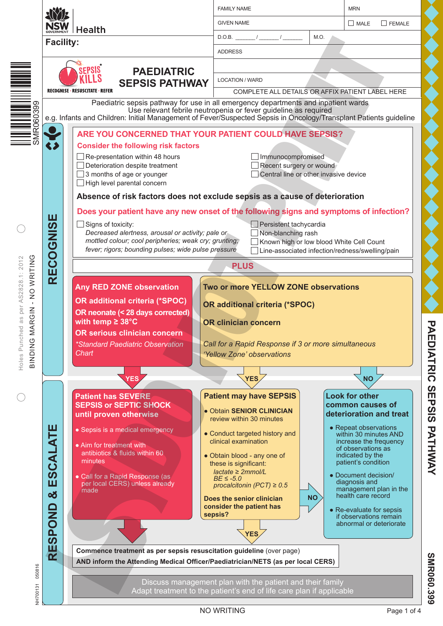|                                                                                       |                                                          |                                                                                                                                                                                                                                                                                                                                                                                                                                                                                                                                                                                                                                                                                                                                                                                                                                                  | <b>FAMILY NAME</b>                                                                                                                                                                                                                                                                                                                                                                                    | <b>MRN</b>                                      |                                                                                                                                                                                                                                                                                                                                                                                             |  |  |
|---------------------------------------------------------------------------------------|----------------------------------------------------------|--------------------------------------------------------------------------------------------------------------------------------------------------------------------------------------------------------------------------------------------------------------------------------------------------------------------------------------------------------------------------------------------------------------------------------------------------------------------------------------------------------------------------------------------------------------------------------------------------------------------------------------------------------------------------------------------------------------------------------------------------------------------------------------------------------------------------------------------------|-------------------------------------------------------------------------------------------------------------------------------------------------------------------------------------------------------------------------------------------------------------------------------------------------------------------------------------------------------------------------------------------------------|-------------------------------------------------|---------------------------------------------------------------------------------------------------------------------------------------------------------------------------------------------------------------------------------------------------------------------------------------------------------------------------------------------------------------------------------------------|--|--|
|                                                                                       | NSW                                                      | <b>Health</b>                                                                                                                                                                                                                                                                                                                                                                                                                                                                                                                                                                                                                                                                                                                                                                                                                                    | <b>GIVEN NAME</b>                                                                                                                                                                                                                                                                                                                                                                                     | $\Box$ FEMALE<br>MALE                           |                                                                                                                                                                                                                                                                                                                                                                                             |  |  |
|                                                                                       | <b>Facility:</b>                                         |                                                                                                                                                                                                                                                                                                                                                                                                                                                                                                                                                                                                                                                                                                                                                                                                                                                  | $D.O.B.$ / /<br>M.O.                                                                                                                                                                                                                                                                                                                                                                                  |                                                 |                                                                                                                                                                                                                                                                                                                                                                                             |  |  |
|                                                                                       |                                                          |                                                                                                                                                                                                                                                                                                                                                                                                                                                                                                                                                                                                                                                                                                                                                                                                                                                  | <b>ADDRESS</b>                                                                                                                                                                                                                                                                                                                                                                                        |                                                 |                                                                                                                                                                                                                                                                                                                                                                                             |  |  |
|                                                                                       |                                                          | EPSIS<br><b>PAEDIATRIC</b>                                                                                                                                                                                                                                                                                                                                                                                                                                                                                                                                                                                                                                                                                                                                                                                                                       |                                                                                                                                                                                                                                                                                                                                                                                                       |                                                 |                                                                                                                                                                                                                                                                                                                                                                                             |  |  |
|                                                                                       |                                                          | <b>SEPSIS PATHWAY</b>                                                                                                                                                                                                                                                                                                                                                                                                                                                                                                                                                                                                                                                                                                                                                                                                                            | <b>LOCATION / WARD</b>                                                                                                                                                                                                                                                                                                                                                                                |                                                 |                                                                                                                                                                                                                                                                                                                                                                                             |  |  |
|                                                                                       |                                                          | RECOGNISE · RESUSCITATE · REFER                                                                                                                                                                                                                                                                                                                                                                                                                                                                                                                                                                                                                                                                                                                                                                                                                  | COMPLETE ALL DETAILS OR AFFIX PATIENT LABEL HERE                                                                                                                                                                                                                                                                                                                                                      |                                                 |                                                                                                                                                                                                                                                                                                                                                                                             |  |  |
| SMR060399                                                                             |                                                          |                                                                                                                                                                                                                                                                                                                                                                                                                                                                                                                                                                                                                                                                                                                                                                                                                                                  | Paediatric sepsis pathway for use in all emergency departments and inpatient wards<br>Use relevant febrile neutropenia or fever guideline as required<br>e.g. Infants and Children: Initial Management of Fever/Suspected Sepsis in Oncology/Transplant Patients guideline                                                                                                                            |                                                 |                                                                                                                                                                                                                                                                                                                                                                                             |  |  |
| NO WRITING<br>ed as per AS2828.1: 2012<br>MARGIN<br>Holes Punch<br>O<br><b>NIQNIB</b> | $\leftrightarrow$<br>ECOGNISE<br>$\overline{\mathbf{r}}$ | ARE YOU CONCERNED THAT YOUR PATIENT COULD HAVE SEPSIS?<br><b>Consider the following risk factors</b><br>Re-presentation within 48 hours<br>Deterioration despite treatment<br>3 months of age or younger<br>High level parental concern<br>Absence of risk factors does not exclude sepsis as a cause of deterioration<br>Does your patient have any new onset of the following signs and symptoms of infection?<br>Signs of toxicity:<br>Decreased alertness, arousal or activity; pale or<br>mottled colour; cool peripheries; weak cry; grunting;<br>fever; rigors; bounding pulses; wide pulse pressure<br><b>Any RED ZONE observation</b><br><b>OR additional criteria (*SPOC)</b><br>OR neonate (< 28 days corrected)<br>with temp $\geq 38^{\circ}$ C<br><b>OR serious clinician concern</b><br>*Standard Paediatric Observation<br>Chart | Immunocompromised<br>Recent surgery or wound<br>Central line or other invasive device<br>Persistent tachycardia<br>Non-blanching rash<br>Known high or low blood White Cell Count<br><b>PLUS</b><br>Two or more YELLOW ZONE observations<br><b>OR additional criteria (*SPOC)</b><br><b>OR clinician concern</b><br>Call for a Rapid Response if 3 or more simultaneous<br>'Yellow Zone' observations | Line-associated infection/redness/swelling/pain |                                                                                                                                                                                                                                                                                                                                                                                             |  |  |
|                                                                                       |                                                          |                                                                                                                                                                                                                                                                                                                                                                                                                                                                                                                                                                                                                                                                                                                                                                                                                                                  |                                                                                                                                                                                                                                                                                                                                                                                                       |                                                 |                                                                                                                                                                                                                                                                                                                                                                                             |  |  |
|                                                                                       |                                                          | <b>YES</b>                                                                                                                                                                                                                                                                                                                                                                                                                                                                                                                                                                                                                                                                                                                                                                                                                                       | YES,                                                                                                                                                                                                                                                                                                                                                                                                  |                                                 | <b>NO</b>                                                                                                                                                                                                                                                                                                                                                                                   |  |  |
| 050816                                                                                | ESCALATE<br>න්<br><b>RESPOND</b>                         | <b>Patient has SEVERE</b><br><b>SEPSIS or SEPTIC SHOCK</b><br>until proven otherwise<br>• Sepsis is a medical emergency<br>• Aim for treatment with<br>antibiotics & fluids within 60<br>minutes<br>· Call for a Rapid Response (as<br>per local CERS) unless already<br>made<br>Commence treatment as per sepsis resuscitation guideline (over page)<br>AND inform the Attending Medical Officer/Paediatrician/NETS (as per local CERS)                                                                                                                                                                                                                                                                                                                                                                                                         | <b>Patient may have SEPSIS</b><br>· Obtain SENIOR CLINICIAN<br>review within 30 minutes<br>• Conduct targeted history and<br>clinical examination<br>• Obtain blood - any one of<br>these is significant:<br>$lactate \geq 2mmol/L$<br>$BE \le -5.0$<br>procalcitonin (PCT) $\geq 0.5$<br>Does the senior clinician<br>consider the patient has<br>sepsis?<br>YES                                     | <b>NO</b>                                       | <b>Look for other</b><br>common causes of<br>deterioration and treat<br>• Repeat observations<br>within 30 minutes AND<br>increase the frequency<br>of observations as<br>indicated by the<br>patient's condition<br>• Document decision/<br>diagnosis and<br>management plan in the<br>health care record<br>• Re-evaluate for sepsis<br>if observations remain<br>abnormal or deteriorate |  |  |
| NH700131                                                                              |                                                          | Discuss management plan with the patient and their family<br>Adapt treatment to the patient's end of life care plan if applicable                                                                                                                                                                                                                                                                                                                                                                                                                                                                                                                                                                                                                                                                                                                |                                                                                                                                                                                                                                                                                                                                                                                                       |                                                 |                                                                                                                                                                                                                                                                                                                                                                                             |  |  |
|                                                                                       |                                                          |                                                                                                                                                                                                                                                                                                                                                                                                                                                                                                                                                                                                                                                                                                                                                                                                                                                  | NO WRITING                                                                                                                                                                                                                                                                                                                                                                                            |                                                 | Page 1 of 4                                                                                                                                                                                                                                                                                                                                                                                 |  |  |

PAEDIATRIC SEPSIS PATHWAY **PAEDIATRIC SEPSIS PATHWAY**

> **SMR060.399 SMR060.399**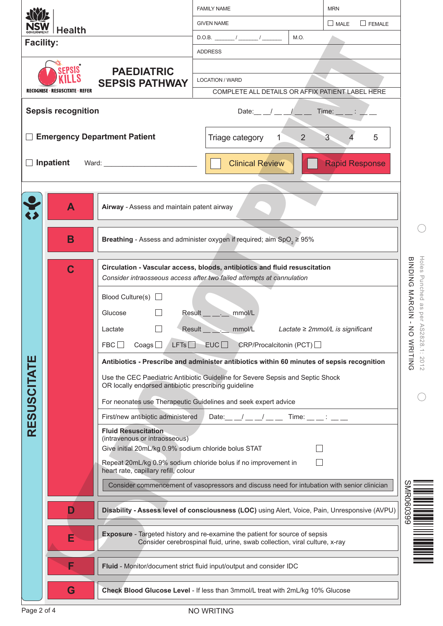|                                     |                                 |                                                                                                                                                                                                                                                                              | <b>FAMILY NAME</b>                                                                         |              | <b>MRN</b>            |                                   |  |  |
|-------------------------------------|---------------------------------|------------------------------------------------------------------------------------------------------------------------------------------------------------------------------------------------------------------------------------------------------------------------------|--------------------------------------------------------------------------------------------|--------------|-----------------------|-----------------------------------|--|--|
| Health                              |                                 |                                                                                                                                                                                                                                                                              | <b>GIVEN NAME</b>                                                                          |              | $\Box$ FEMALE<br>MATE |                                   |  |  |
| <b>Facility:</b>                    |                                 |                                                                                                                                                                                                                                                                              |                                                                                            | M.O.         |                       |                                   |  |  |
|                                     |                                 |                                                                                                                                                                                                                                                                              | <b>ADDRESS</b>                                                                             |              |                       |                                   |  |  |
| <b>EPSIS</b><br><b>PAEDIATRIC</b>   |                                 |                                                                                                                                                                                                                                                                              |                                                                                            |              |                       |                                   |  |  |
|                                     | RECOGNISE · RESUSCITATE · REFER | <b>SEPSIS PATHWAY</b>                                                                                                                                                                                                                                                        | <b>LOCATION / WARD</b>                                                                     |              |                       |                                   |  |  |
|                                     |                                 |                                                                                                                                                                                                                                                                              | COMPLETE ALL DETAILS OR AFFIX PATIENT LABEL HERE                                           |              |                       |                                   |  |  |
|                                     | <b>Sepsis recognition</b>       |                                                                                                                                                                                                                                                                              | Date: $\_\_\_\_\_\_\_\_\_\_\_\_\_\_\_\_\_\_\_\_\_$                                         |              | $Time:$ $\_\_$ :      |                                   |  |  |
| <b>Emergency Department Patient</b> |                                 |                                                                                                                                                                                                                                                                              | Triage category<br>$\mathbf{1}$                                                            | 2            | 3<br>5                |                                   |  |  |
| Inpatient<br>Ward: Ward:            |                                 |                                                                                                                                                                                                                                                                              | <b>Clinical Review</b>                                                                     |              | <b>Rapid Response</b> |                                   |  |  |
|                                     | A                               | Airway - Assess and maintain patent airway                                                                                                                                                                                                                                   |                                                                                            |              |                       |                                   |  |  |
|                                     | B                               | <b>Breathing</b> - Assess and administer oxygen if required; aim SpO <sub>2</sub> $\geq$ 95%                                                                                                                                                                                 |                                                                                            |              |                       |                                   |  |  |
|                                     |                                 |                                                                                                                                                                                                                                                                              | Circulation - Vascular access, bloods, antibiotics and fluid resuscitation                 |              |                       |                                   |  |  |
|                                     | C                               |                                                                                                                                                                                                                                                                              | Consider intraosseous access after two failed attempts at cannulation                      |              |                       | Holes Punched<br>BINDING MARGIN - |  |  |
|                                     |                                 | Blood Culture(s) $\Box$                                                                                                                                                                                                                                                      |                                                                                            |              |                       |                                   |  |  |
|                                     |                                 | Glucose                                                                                                                                                                                                                                                                      | Result ________ mmol/L                                                                     |              |                       | as<br>per                         |  |  |
|                                     |                                 | $\leq$<br>Result mmol/L<br>Lactate<br>Lactate $\geq$ 2mmol/L is significant                                                                                                                                                                                                  |                                                                                            |              |                       |                                   |  |  |
|                                     |                                 | LFTs<br>Coags<br>FBC                                                                                                                                                                                                                                                         | EUC<br>CRP/Procalcitonin (PCT)                                                             |              |                       |                                   |  |  |
|                                     |                                 |                                                                                                                                                                                                                                                                              | Antibiotics - Prescribe and administer antibiotics within 60 minutes of sepsis recognition |              |                       | 828.1: 2012<br>WRITING            |  |  |
| <b>RESUSCITATE</b>                  |                                 | OR locally endorsed antibiotic prescribing guideline                                                                                                                                                                                                                         | Use the CEC Paediatric Antibiotic Guideline for Severe Sepsis and Septic Shock             |              |                       |                                   |  |  |
|                                     |                                 |                                                                                                                                                                                                                                                                              | For neonates use Therapeutic Guidelines and seek expert advice                             |              |                       |                                   |  |  |
|                                     |                                 | First/new antibiotic administered                                                                                                                                                                                                                                            | Date: $\frac{1}{2}$ $\frac{1}{2}$ $\frac{1}{2}$ $\frac{1}{2}$ $\frac{1}{2}$                | Time: $\_\_$ |                       |                                   |  |  |
|                                     |                                 | <b>Fluid Resuscitation</b><br>(intravenous or intraosseous)<br>Give initial 20mL/kg 0.9% sodium chloride bolus STAT                                                                                                                                                          |                                                                                            |              |                       |                                   |  |  |
|                                     |                                 | heart rate, capillary refill, colour                                                                                                                                                                                                                                         | Repeat 20mL/kg 0.9% sodium chloride bolus if no improvement in                             |              |                       |                                   |  |  |
|                                     |                                 | Consider commencement of vasopressors and discuss need for intubation with senior clinician                                                                                                                                                                                  |                                                                                            |              |                       |                                   |  |  |
|                                     |                                 |                                                                                                                                                                                                                                                                              |                                                                                            |              |                       | MR060399                          |  |  |
|                                     |                                 | Disability - Assess level of consciousness (LOC) using Alert, Voice, Pain, Unresponsive (AVPU)<br>D<br><b>Exposure</b> - Targeted history and re-examine the patient for source of sepsis<br>Е<br>Consider cerebrospinal fluid, urine, swab collection, viral culture, x-ray |                                                                                            |              |                       |                                   |  |  |
|                                     |                                 |                                                                                                                                                                                                                                                                              |                                                                                            |              |                       |                                   |  |  |
|                                     | F                               |                                                                                                                                                                                                                                                                              | Fluid - Monitor/document strict fluid input/output and consider IDC                        |              |                       |                                   |  |  |
|                                     | G                               | Check Blood Glucose Level - If less than 3mmol/L treat with 2mL/kg 10% Glucose                                                                                                                                                                                               |                                                                                            |              |                       |                                   |  |  |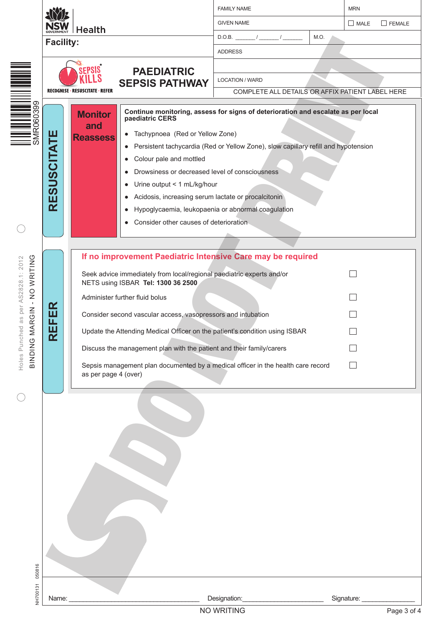|                                                                                        | <b>Health</b>                   |                                          |                                                                                                                                                                                                                                                                                                         | <b>FAMILY NAME</b>                                                                                                                                                                                                           |      | <b>MRN</b>                     |  |  |
|----------------------------------------------------------------------------------------|---------------------------------|------------------------------------------|---------------------------------------------------------------------------------------------------------------------------------------------------------------------------------------------------------------------------------------------------------------------------------------------------------|------------------------------------------------------------------------------------------------------------------------------------------------------------------------------------------------------------------------------|------|--------------------------------|--|--|
|                                                                                        |                                 |                                          |                                                                                                                                                                                                                                                                                                         | <b>GIVEN NAME</b>                                                                                                                                                                                                            |      | MATE<br>$\Box$ FEMALE          |  |  |
|                                                                                        | <b>Facility:</b>                |                                          |                                                                                                                                                                                                                                                                                                         |                                                                                                                                                                                                                              | M.O. |                                |  |  |
|                                                                                        |                                 |                                          |                                                                                                                                                                                                                                                                                                         | <b>ADDRESS</b>                                                                                                                                                                                                               |      |                                |  |  |
|                                                                                        |                                 | EPSIS                                    | <b>PAEDIATRIC</b>                                                                                                                                                                                                                                                                                       |                                                                                                                                                                                                                              |      |                                |  |  |
|                                                                                        |                                 |                                          | <b>SEPSIS PATHWAY</b>                                                                                                                                                                                                                                                                                   | <b>LOCATION / WARD</b>                                                                                                                                                                                                       |      |                                |  |  |
|                                                                                        | RECOGNISE · RESUSCITATE · REFER |                                          | COMPLETE ALL DETAILS OR AFFIX PATIENT LABEL HERE                                                                                                                                                                                                                                                        |                                                                                                                                                                                                                              |      |                                |  |  |
| III IIII IIII IIIIIIII<br>SMR060399                                                    | <b>RESUSCITATE</b>              | <b>Monitor</b><br>and<br><b>Reassess</b> | paediatric CERS<br>Tachypnoea (Red or Yellow Zone)<br>$\bullet$<br>Colour pale and mottled<br>$\bullet$<br>Drowsiness or decreased level of consciousness<br>Urine output < 1 mL/kg/hour<br>Acidosis, increasing serum lactate or procalcitonin<br>$\bullet$<br>Consider other causes of deterioration. | Continue monitoring, assess for signs of deterioration and escalate as per local<br>Persistent tachycardia (Red or Yellow Zone), slow capillary refill and hypotension<br>Hypoglycaemia, leukopaenia or abnormal coagulation |      |                                |  |  |
|                                                                                        |                                 |                                          |                                                                                                                                                                                                                                                                                                         |                                                                                                                                                                                                                              |      |                                |  |  |
| WRITING<br>AS2828.1: 2012<br>$\frac{1}{2}$<br>$\mathbf{I}$<br>per<br><b>RGIN</b><br>SB | Œ<br>ш<br>ய                     |                                          | Seek advice immediately from local/regional paediatric experts and/or<br>NETS using ISBAR Tel: 1300 36 2500<br>Administer further fluid bolus<br>Consider second vascular access, vasopressors and intubation                                                                                           | If no improvement Paediatric Intensive Care may be required                                                                                                                                                                  |      |                                |  |  |
| ⋜<br>≥                                                                                 | Ш<br>$\overline{\mathbf{K}}$    |                                          | Update the Attending Medical Officer on the patient's condition using ISBAR                                                                                                                                                                                                                             |                                                                                                                                                                                                                              |      |                                |  |  |
|                                                                                        |                                 |                                          | Discuss the management plan with the patient and their family/carers                                                                                                                                                                                                                                    |                                                                                                                                                                                                                              |      |                                |  |  |
| Holes Punched<br><b>BINDING</b>                                                        |                                 | as per page 4 (over)                     |                                                                                                                                                                                                                                                                                                         | Sepsis management plan documented by a medical officer in the health care record                                                                                                                                             |      |                                |  |  |
| 050816<br><b>NH700131</b>                                                              |                                 |                                          |                                                                                                                                                                                                                                                                                                         |                                                                                                                                                                                                                              |      |                                |  |  |
|                                                                                        | Name:                           |                                          |                                                                                                                                                                                                                                                                                                         | Designation:<br>NO WRITING                                                                                                                                                                                                   |      | Signature: ____<br>Page 3 of 4 |  |  |
|                                                                                        |                                 |                                          |                                                                                                                                                                                                                                                                                                         |                                                                                                                                                                                                                              |      |                                |  |  |